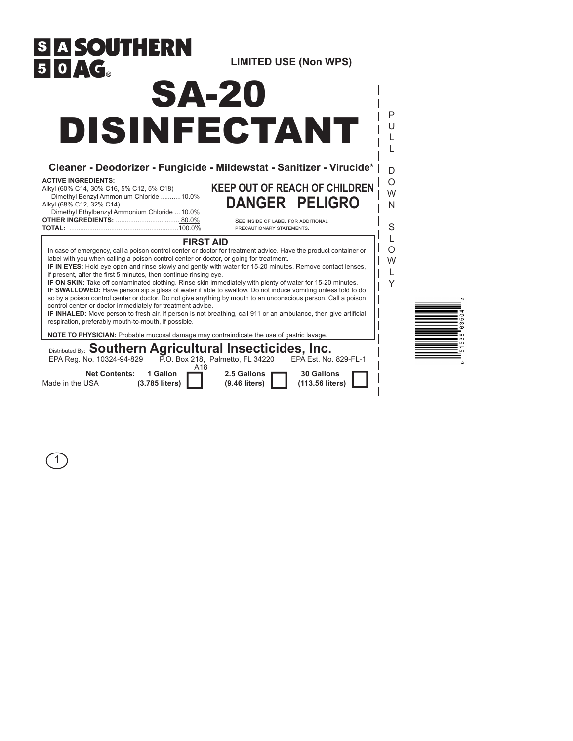

1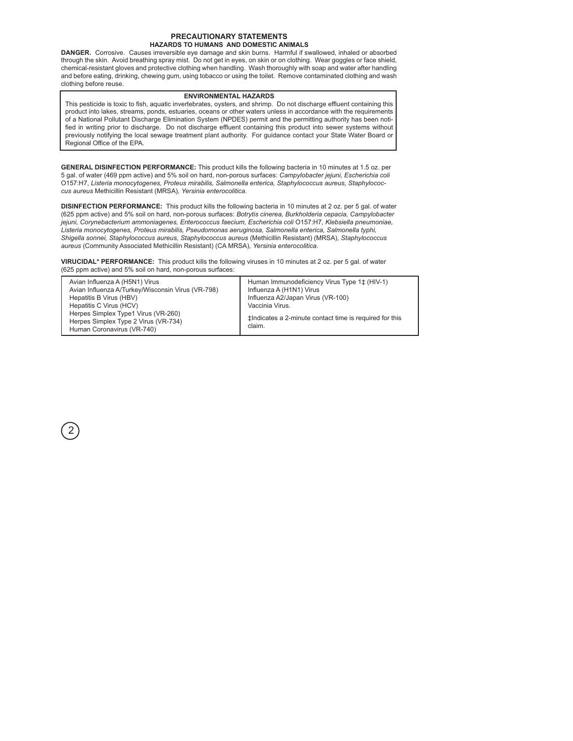#### **PRECAUTIONARY STATEMENTS HAZARDS TO HUMANS AND DOMESTIC ANIMALS**

**DANGER.** Corrosive. Causes irreversible eye damage and skin burns. Harmful if swallowed, inhaled or absorbed through the skin. Avoid breathing spray mist. Do not get in eyes, on skin or on clothing. Wear goggles or face shield, chemical-resistant gloves and protective clothing when handling. Wash thoroughly with soap and water after handling and before eating, drinking, chewing gum, using tobacco or using the toilet. Remove contaminated clothing and wash clothing before reuse.

### **ENVIRONMENTAL HAZARDS**

This pesticide is toxic to fish, aquatic invertebrates, oysters, and shrimp. Do not discharge effluent containing this product into lakes, streams, ponds, estuaries, oceans or other waters unless in accordance with the requirements of a National Pollutant Discharge Elimination System (NPDES) permit and the permitting authority has been notified in writing prior to discharge. Do not discharge effluent containing this product into sewer systems without previously notifying the local sewage treatment plant authority. For guidance contact your State Water Board or Regional Office of the EPA.

**GENERAL DISINFECTION PERFORMANCE:** This product kills the following bacteria in 10 minutes at 1.5 oz. per 5 gal. of water (469 ppm active) and 5% soil on hard, non-porous surfaces: *Campylobacter jejuni, Escherichia coli*  O157:H7, *Listeria monocytogenes, Proteus mirabilis, Salmonella enterica, Staphylococcus aureus, Staphylococcus aureus* Methicillin Resistant (MRSA)*, Yersinia enterocolitica*.

**DISINFECTION PERFORMANCE:** This product kills the following bacteria in 10 minutes at 2 oz. per 5 gal. of water (625 ppm active) and 5% soil on hard, non-porous surfaces: *Botrytis cinerea, Burkholderia cepacia, Campylobacter jejuni, Corynebacterium ammoniagenes, Enterococcus faecium, Escherichia coli* O157:H7*, Klebsiella pneumoniae, Listeria monocytogenes, Proteus mirabilis, Pseudomonas aeruginosa, Salmonella enterica, Salmonella typhi, Shigella sonnei, Staphylococcus aureus, Staphylococcus aureus* (Methicillin Resistant) (MRSA), *Staphylococcus aureus* (Community Associated Methicillin Resistant) (CA MRSA), *Yersinia enterocolitica*.

**VIRUCIDAL\* PERFORMANCE:** This product kills the following viruses in 10 minutes at 2 oz. per 5 gal. of water (625 ppm active) and 5% soil on hard, non-porous surfaces:

2

| Avian Influenza A (H5N1) Virus<br>Avian Influenza A/Turkey/Wisconsin Virus (VR-798)<br>Hepatitis B Virus (HBV)<br>Hepatitis C Virus (HCV)<br>Herpes Simplex Type1 Virus (VR-260)<br>Herpes Simplex Type 2 Virus (VR-734) | Human Immunodeficiency Virus Type 1‡ (HIV-1)<br>Influenza A (H1N1) Virus<br>Influenza A2/Japan Virus (VR-100)<br>Vaccinia Virus.<br>tindicates a 2-minute contact time is required for this |
|--------------------------------------------------------------------------------------------------------------------------------------------------------------------------------------------------------------------------|---------------------------------------------------------------------------------------------------------------------------------------------------------------------------------------------|
| Human Coronavirus (VR-740)                                                                                                                                                                                               | claim.                                                                                                                                                                                      |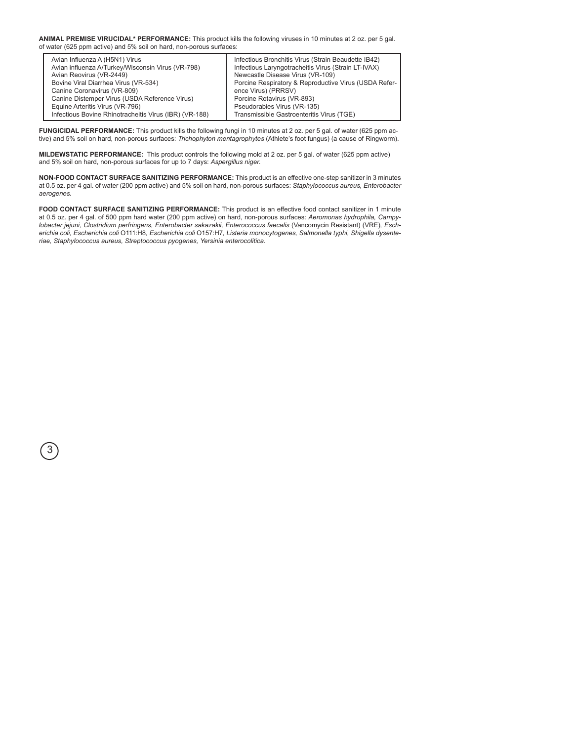#### **ANIMAL PREMISE VIRUCIDAL\* PERFORMANCE:** This product kills the following viruses in 10 minutes at 2 oz. per 5 gal. of water (625 ppm active) and 5% soil on hard, non-porous surfaces:

| Avian Influenza A (H5N1) Virus                         | Infectious Bronchitis Virus (Strain Beaudette IB42)   |
|--------------------------------------------------------|-------------------------------------------------------|
| Avian influenza A/Turkey/Wisconsin Virus (VR-798)      | Infectious Laryngotracheitis Virus (Strain LT-IVAX)   |
| Avian Reovirus (VR-2449)                               | Newcastle Disease Virus (VR-109)                      |
| Bovine Viral Diarrhea Virus (VR-534)                   | Porcine Respiratory & Reproductive Virus (USDA Refer- |
| Canine Coronavirus (VR-809)                            | ence Virus) (PRRSV)                                   |
| Canine Distemper Virus (USDA Reference Virus)          | Porcine Rotavirus (VR-893)                            |
| Equine Arteritis Virus (VR-796)                        | Pseudorabies Virus (VR-135)                           |
| Infectious Bovine Rhinotracheitis Virus (IBR) (VR-188) | Transmissible Gastroenteritis Virus (TGE)             |
|                                                        |                                                       |

**FUNGICIDAL PERFORMANCE:** This product kills the following fungi in 10 minutes at 2 oz. per 5 gal. of water (625 ppm active) and 5% soil on hard, non-porous surfaces: *Trichophyton mentagrophytes* (Athlete's foot fungus) (a cause of Ringworm).

**MILDEWSTATIC PERFORMANCE:** This product controls the following mold at 2 oz. per 5 gal. of water (625 ppm active) and 5% soil on hard, non-porous surfaces for up to 7 days: *Aspergillus niger.*

**NON-FOOD CONTACT SURFACE SANITIZING PERFORMANCE:** This product is an effective one-step sanitizer in 3 minutes at 0.5 oz. per 4 gal. of water (200 ppm active) and 5% soil on hard, non-porous surfaces: *Staphylococcus aureus, Enterobacter aerogenes.*

**FOOD CONTACT SURFACE SANITIZING PERFORMANCE:** This product is an effective food contact sanitizer in 1 minute at 0.5 oz. per 4 gal. of 500 ppm hard water (200 ppm active) on hard, non-porous surfaces: *Aeromonas hydrophila, Campylobacter jejuni, Clostridium perfringens, Enterobacter sakazakii, Enterococcus faecalis* (Vancomycin Resistant) (VRE)*, Escherichia coli, Escherichia coli* O111:H8*, Escherichia coli* O157:H7*, Listeria monocytogenes, Salmonella typhi, Shigella dysenteriae, Staphylococcus aureus, Streptococcus pyogenes, Yersinia enterocolitica.*

3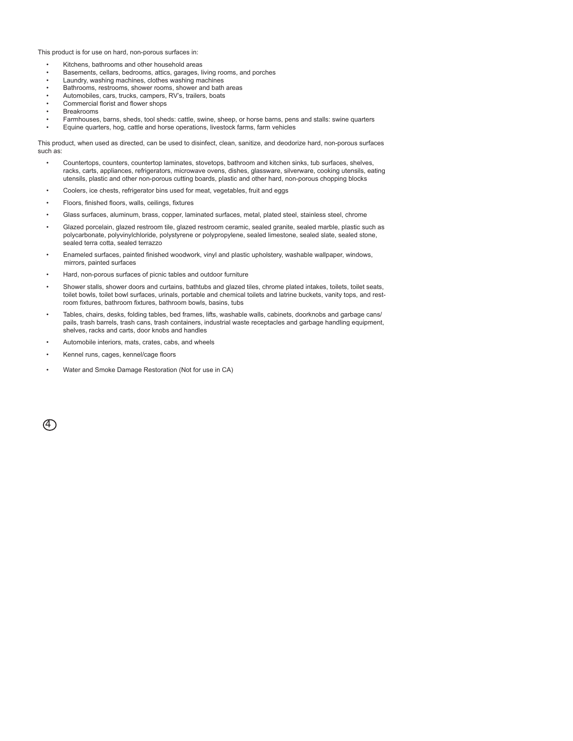This product is for use on hard, non-porous surfaces in:

- Kitchens, bathrooms and other household areas
- Basements, cellars, bedrooms, attics, garages, living rooms, and porches
- Laundry, washing machines, clothes washing machines
- Bathrooms, restrooms, shower rooms, shower and bath areas
- Automobiles, cars, trucks, campers, RV's, trailers, boats • Commercial florist and flower shops
- Breakrooms
- Farmhouses, barns, sheds, tool sheds: cattle, swine, sheep, or horse barns, pens and stalls: swine quarters
- Equine quarters, hog, cattle and horse operations, livestock farms, farm vehicles

This product, when used as directed, can be used to disinfect, clean, sanitize, and deodorize hard, non-porous surfaces such as:

- Countertops, counters, countertop laminates, stovetops, bathroom and kitchen sinks, tub surfaces, shelves, racks, carts, appliances, refrigerators, microwave ovens, dishes, glassware, silverware, cooking utensils, eating utensils, plastic and other non-porous cutting boards, plastic and other hard, non-porous chopping blocks
- Coolers, ice chests, refrigerator bins used for meat, vegetables, fruit and eggs
- Floors, finished floors, walls, ceilings, fixtures
- Glass surfaces, aluminum, brass, copper, laminated surfaces, metal, plated steel, stainless steel, chrome
- Glazed porcelain, glazed restroom tile, glazed restroom ceramic, sealed granite, sealed marble, plastic such as polycarbonate, polyvinylchloride, polystyrene or polypropylene, sealed limestone, sealed slate, sealed stone, sealed terra cotta, sealed terrazzo
- Enameled surfaces, painted finished woodwork, vinyl and plastic upholstery, washable wallpaper, windows, mirrors, painted surfaces
- Hard, non-porous surfaces of picnic tables and outdoor furniture
- Shower stalls, shower doors and curtains, bathtubs and glazed tiles, chrome plated intakes, toilets, toilet seats, toilet bowls, toilet bowl surfaces, urinals, portable and chemical toilets and latrine buckets, vanity tops, and restroom fixtures, bathroom fixtures, bathroom bowls, basins, tubs
- Tables, chairs, desks, folding tables, bed frames, lifts, washable walls, cabinets, doorknobs and garbage cans/ pails, trash barrels, trash cans, trash containers, industrial waste receptacles and garbage handling equipment, shelves, racks and carts, door knobs and handles
- Automobile interiors, mats, crates, cabs, and wheels
- Kennel runs, cages, kennel/cage floors
- Water and Smoke Damage Restoration (Not for use in CA)

 $(4)$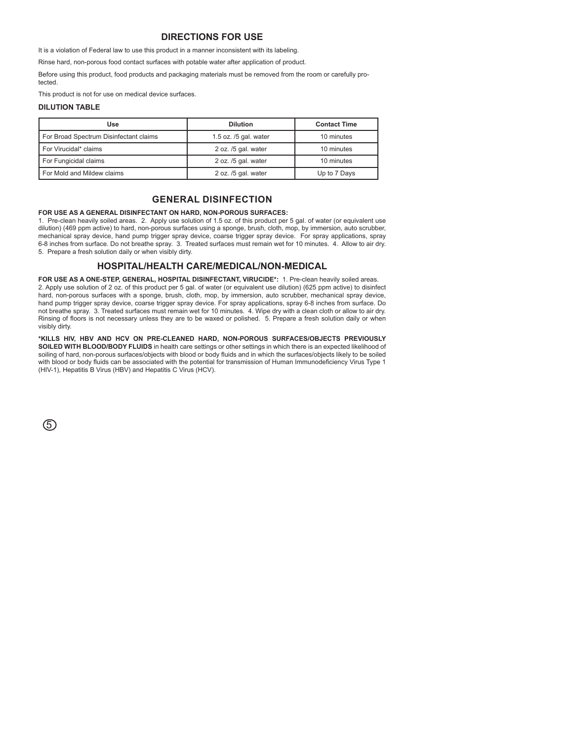## **DIRECTIONS FOR USE**

It is a violation of Federal law to use this product in a manner inconsistent with its labeling.

Rinse hard, non-porous food contact surfaces with potable water after application of product.

Before using this product, food products and packaging materials must be removed from the room or carefully protected.

This product is not for use on medical device surfaces.

### **DILUTION TABLE**

| Use                                    | <b>Dilution</b>           | <b>Contact Time</b> |
|----------------------------------------|---------------------------|---------------------|
| For Broad Spectrum Disinfectant claims | $1.5$ oz. $/5$ gal. water | 10 minutes          |
| For Virucidal* claims                  | 2 oz. /5 gal. water       | 10 minutes          |
| For Fungicidal claims                  | 2 oz. /5 gal. water       | 10 minutes          |
| For Mold and Mildew claims             | 2 oz. /5 gal. water       | Up to 7 Days        |

# **GENERAL DISINFECTION**

#### **FOR USE AS A GENERAL DISINFECTANT ON HARD, NON-POROUS SURFACES:**

1. Pre-clean heavily soiled areas. 2. Apply use solution of 1.5 oz. of this product per 5 gal. of water (or equivalent use dilution) (469 ppm active) to hard, non-porous surfaces using a sponge, brush, cloth, mop, by immersion, auto scrubber, mechanical spray device, hand pump trigger spray device, coarse trigger spray device. For spray applications, spray 6-8 inches from surface. Do not breathe spray. 3. Treated surfaces must remain wet for 10 minutes. 4. Allow to air dry. 5. Prepare a fresh solution daily or when visibly dirty.

### **HOSPITAL/HEALTH CARE/MEDICAL/NON-MEDICAL**

**FOR USE AS A ONE-STEP, GENERAL, HOSPITAL DISINFECTANT, VIRUCIDE\*:** 1. Pre-clean heavily soiled areas. 2. Apply use solution of 2 oz. of this product per 5 gal. of water (or equivalent use dilution) (625 ppm active) to disinfect hard, non-porous surfaces with a sponge, brush, cloth, mop, by immersion, auto scrubber, mechanical spray device, hand pump trigger spray device, coarse trigger spray device. For spray applications, spray 6-8 inches from surface. Do not breathe spray. 3. Treated surfaces must remain wet for 10 minutes. 4. Wipe dry with a clean cloth or allow to air dry. Rinsing of floors is not necessary unless they are to be waxed or polished. 5. Prepare a fresh solution daily or when visibly dirty.

**\*KILLS HIV, HBV AND HCV ON PRE-CLEANED HARD, NON-POROUS SURFACES/OBJECTS PREVIOUSLY SOILED WITH BLOOD/BODY FLUIDS** in health care settings or other settings in which there is an expected likelihood of soiling of hard, non-porous surfaces/objects with blood or body fluids and in which the surfaces/objects likely to be soiled with blood or body fluids can be associated with the potential for transmission of Human Immunodeficiency Virus Type 1 (HIV-1), Hepatitis B Virus (HBV) and Hepatitis C Virus (HCV).

 $\circledS$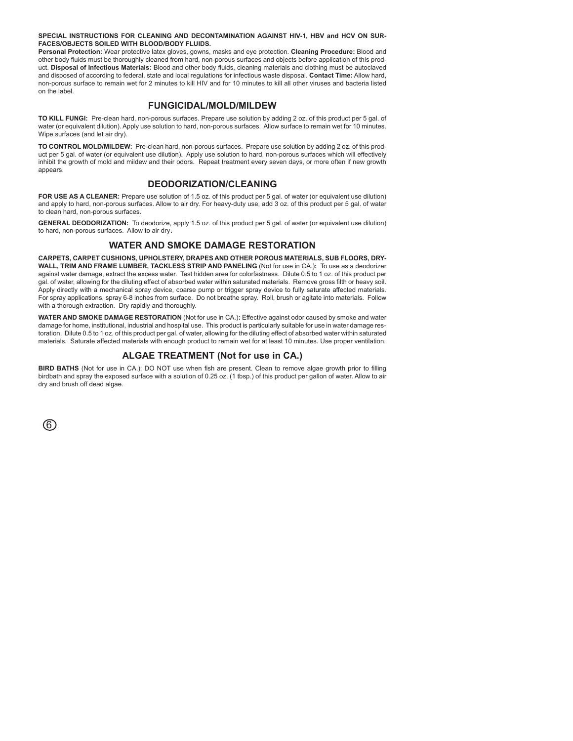**SPECIAL INSTRUCTIONS FOR CLEANING AND DECONTAMINATION AGAINST HIV-1, HBV and HCV ON SUR-FACES/OBJECTS SOILED WITH BLOOD/BODY FLUIDS.**

**Personal Protection:** Wear protective latex gloves, gowns, masks and eye protection. **Cleaning Procedure:** Blood and other body fluids must be thoroughly cleaned from hard, non-porous surfaces and objects before application of this product. **Disposal of Infectious Materials:** Blood and other body fluids, cleaning materials and clothing must be autoclaved and disposed of according to federal, state and local regulations for infectious waste disposal. **Contact Time:** Allow hard, non-porous surface to remain wet for 2 minutes to kill HIV and for 10 minutes to kill all other viruses and bacteria listed on the label.

# **FUNGICIDAL/MOLD/MILDEW**

**TO KILL FUNGI:** Pre-clean hard, non-porous surfaces. Prepare use solution by adding 2 oz. of this product per 5 gal. of water (or equivalent dilution). Apply use solution to hard, non-porous surfaces. Allow surface to remain wet for 10 minutes. Wipe surfaces (and let air dry).

**TO CONTROL MOLD/MILDEW:** Pre-clean hard, non-porous surfaces. Prepare use solution by adding 2 oz. of this product per 5 gal. of water (or equivalent use dilution). Apply use solution to hard, non-porous surfaces which will effectively inhibit the growth of mold and mildew and their odors. Repeat treatment every seven days, or more often if new growth appears.

# **DEODORIZATION/CLEANING**

**FOR USE AS A CLEANER:** Prepare use solution of 1.5 oz. of this product per 5 gal. of water (or equivalent use dilution) and apply to hard, non-porous surfaces. Allow to air dry. For heavy-duty use, add 3 oz. of this product per 5 gal. of water to clean hard, non-porous surfaces.

**GENERAL DEODORIZATION:** To deodorize, apply 1.5 oz. of this product per 5 gal. of water (or equivalent use dilution) to hard, non-porous surfaces. Allow to air dry.

### **WATER AND SMOKE DAMAGE RESTORATION**

**CARPETS, CARPET CUSHIONS, UPHOLSTERY, DRAPES AND OTHER POROUS MATERIALS, SUB FLOORS, DRY-WALL, TRIM AND FRAME LUMBER, TACKLESS STRIP AND PANELING** (Not for use in CA.)**:** To use as a deodorizer against water damage, extract the excess water. Test hidden area for colorfastness. Dilute 0.5 to 1 oz. of this product per gal. of water, allowing for the diluting effect of absorbed water within saturated materials. Remove gross filth or heavy soil. Apply directly with a mechanical spray device, coarse pump or trigger spray device to fully saturate affected materials. For spray applications, spray 6-8 inches from surface. Do not breathe spray. Roll, brush or agitate into materials. Follow with a thorough extraction. Dry rapidly and thoroughly.

**WATER AND SMOKE DAMAGE RESTORATION** (Not for use in CA.)**:** Effective against odor caused by smoke and water damage for home, institutional, industrial and hospital use. This product is particularly suitable for use in water damage restoration. Dilute 0.5 to 1 oz. of this product per gal. of water, allowing for the diluting effect of absorbed water within saturated materials. Saturate affected materials with enough product to remain wet for at least 10 minutes. Use proper ventilation.

# **ALGAE TREATMENT (Not for use in CA.)**

**BIRD BATHS** (Not for use in CA.): DO NOT use when fish are present. Clean to remove algae growth prior to filling birdbath and spray the exposed surface with a solution of 0.25 oz. (1 tbsp.) of this product per gallon of water. Allow to air dry and brush off dead algae.

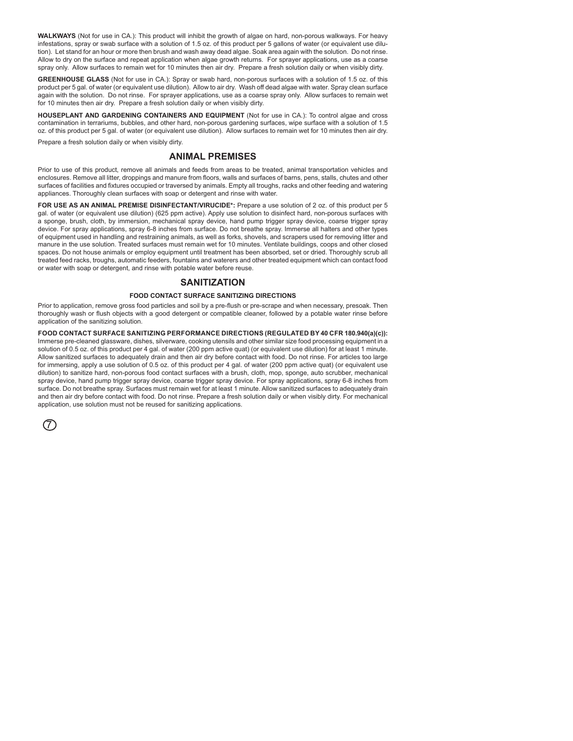**WALKWAYS** (Not for use in CA.): This product will inhibit the growth of algae on hard, non-porous walkways. For heavy infestations, spray or swab surface with a solution of 1.5 oz. of this product per 5 gallons of water (or equivalent use dilution). Let stand for an hour or more then brush and wash away dead algae. Soak area again with the solution. Do not rinse. Allow to dry on the surface and repeat application when algae growth returns. For sprayer applications, use as a coarse spray only. Allow surfaces to remain wet for 10 minutes then air dry. Prepare a fresh solution daily or when visibly dirty.

**GREENHOUSE GLASS** (Not for use in CA.): Spray or swab hard, non-porous surfaces with a solution of 1.5 oz. of this product per 5 gal. of water (or equivalent use dilution). Allow to air dry. Wash off dead algae with water. Spray clean surface again with the solution. Do not rinse. For sprayer applications, use as a coarse spray only. Allow surfaces to remain wet for 10 minutes then air dry. Prepare a fresh solution daily or when visibly dirty.

**HOUSEPLANT AND GARDENING CONTAINERS AND EQUIPMENT** (Not for use in CA.): To control algae and cross contamination in terrariums, bubbles, and other hard, non-porous gardening surfaces, wipe surface with a solution of 1.5 oz. of this product per 5 gal. of water (or equivalent use dilution). Allow surfaces to remain wet for 10 minutes then air dry.

Prepare a fresh solution daily or when visibly dirty.

### **ANIMAL PREMISES**

Prior to use of this product, remove all animals and feeds from areas to be treated, animal transportation vehicles and enclosures. Remove all litter, droppings and manure from floors, walls and surfaces of barns, pens, stalls, chutes and other surfaces of facilities and fixtures occupied or traversed by animals. Empty all troughs, racks and other feeding and watering appliances. Thoroughly clean surfaces with soap or detergent and rinse with water.

**FOR USE AS AN ANIMAL PREMISE DISINFECTANT/VIRUCIDE\*:** Prepare a use solution of 2 oz. of this product per 5 gal. of water (or equivalent use dilution) (625 ppm active). Apply use solution to disinfect hard, non-porous surfaces with a sponge, brush, cloth, by immersion, mechanical spray device, hand pump trigger spray device, coarse trigger spray device. For spray applications, spray 6-8 inches from surface. Do not breathe spray. Immerse all halters and other types of equipment used in handling and restraining animals, as well as forks, shovels, and scrapers used for removing litter and manure in the use solution. Treated surfaces must remain wet for 10 minutes. Ventilate buildings, coops and other closed spaces. Do not house animals or employ equipment until treatment has been absorbed, set or dried. Thoroughly scrub all treated feed racks, troughs, automatic feeders, fountains and waterers and other treated equipment which can contact food or water with soap or detergent, and rinse with potable water before reuse.

# **SANITIZATION**

### **FOOD CONTACT SURFACE SANITIZING DIRECTIONS**

Prior to application, remove gross food particles and soil by a pre-flush or pre-scrape and when necessary, presoak. Then thoroughly wash or flush objects with a good detergent or compatible cleaner, followed by a potable water rinse before application of the sanitizing solution.

**FOOD CONTACT SURFACE SANITIZING PERFORMANCE DIRECTIONS (REGULATED BY 40 CFR 180.940(a)(c)):**  Immerse pre-cleaned glassware, dishes, silverware, cooking utensils and other similar size food processing equipment in a solution of 0.5 oz. of this product per 4 gal. of water (200 ppm active quat) (or equivalent use dilution) for at least 1 minute. Allow sanitized surfaces to adequately drain and then air dry before contact with food. Do not rinse. For articles too large for immersing, apply a use solution of 0.5 oz. of this product per 4 gal. of water (200 ppm active quat) (or equivalent use dilution) to sanitize hard, non-porous food contact surfaces with a brush, cloth, mop, sponge, auto scrubber, mechanical spray device, hand pump trigger spray device, coarse trigger spray device. For spray applications, spray 6-8 inches from surface. Do not breathe spray. Surfaces must remain wet for at least 1 minute. Allow sanitized surfaces to adequately drain and then air dry before contact with food. Do not rinse. Prepare a fresh solution daily or when visibly dirty. For mechanical application, use solution must not be reused for sanitizing applications.

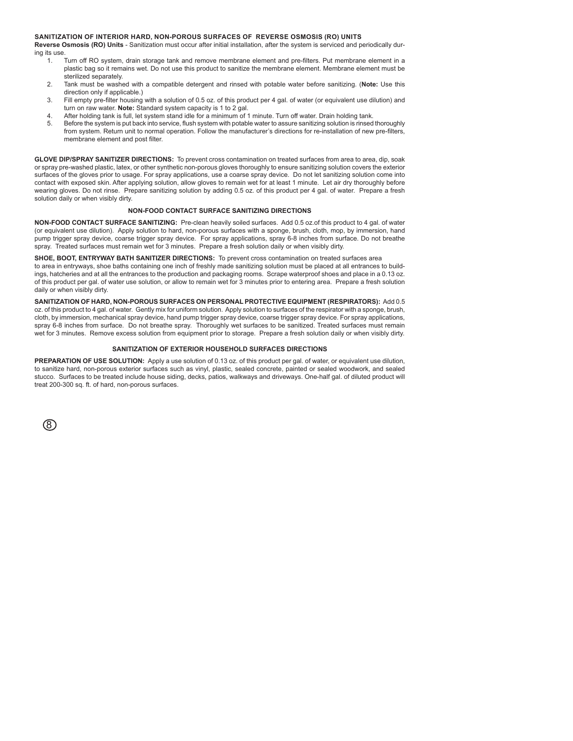#### **SANITIZATION OF INTERIOR HARD, NON-POROUS SURFACES OF REVERSE OSMOSIS (RO) UNITS**

**Reverse Osmosis (RO) Units** - Sanitization must occur after initial installation, after the system is serviced and periodically during its use.

- 1. Turn off RO system, drain storage tank and remove membrane element and pre-filters. Put membrane element in a plastic bag so it remains wet. Do not use this product to sanitize the membrane element. Membrane element must be sterilized separately.
- 2. Tank must be washed with a compatible detergent and rinsed with potable water before sanitizing. (**Note:** Use this direction only if applicable.)
- 3. Fill empty pre-filter housing with a solution of 0.5 oz. of this product per 4 gal. of water (or equivalent use dilution) and turn on raw water. **Note:** Standard system capacity is 1 to 2 gal.
- 4. After holding tank is full, let system stand idle for a minimum of 1 minute. Turn off water. Drain holding tank.<br>5. Before the system is put back into service, flush system with potable water to assure sanitizing soluti
- 5. Before the system is put back into service, flush system with potable water to assure sanitizing solution is rinsed thoroughly from system. Return unit to normal operation. Follow the manufacturer's directions for re-installation of new pre-filters, membrane element and post filter.

**GLOVE DIP/SPRAY SANITIZER DIRECTIONS:** To prevent cross contamination on treated surfaces from area to area, dip, soak or spray pre-washed plastic, latex, or other synthetic non-porous gloves thoroughly to ensure sanitizing solution covers the exterior surfaces of the gloves prior to usage. For spray applications, use a coarse spray device. Do not let sanitizing solution come into contact with exposed skin. After applying solution, allow gloves to remain wet for at least 1 minute. Let air dry thoroughly before wearing gloves. Do not rinse. Prepare sanitizing solution by adding 0.5 oz. of this product per 4 gal. of water. Prepare a fresh solution daily or when visibly dirty.

#### **NON-FOOD CONTACT SURFACE SANITIZING DIRECTIONS**

**NON-FOOD CONTACT SURFACE SANITIZING:** Pre-clean heavily soiled surfaces. Add 0.5 oz.of this product to 4 gal. of water (or equivalent use dilution). Apply solution to hard, non-porous surfaces with a sponge, brush, cloth, mop, by immersion, hand pump trigger spray device, coarse trigger spray device. For spray applications, spray 6-8 inches from surface. Do not breathe spray. Treated surfaces must remain wet for 3 minutes. Prepare a fresh solution daily or when visibly dirty.

**SHOE, BOOT, ENTRYWAY BATH SANITIZER DIRECTIONS:** To prevent cross contamination on treated surfaces area to area in entryways, shoe baths containing one inch of freshly made sanitizing solution must be placed at all entrances to buildings, hatcheries and at all the entrances to the production and packaging rooms. Scrape waterproof shoes and place in a 0.13 oz. of this product per gal. of water use solution, or allow to remain wet for 3 minutes prior to entering area. Prepare a fresh solution

**SANITIZATION OF HARD, NON-POROUS SURFACES ON PERSONAL PROTECTIVE EQUIPMENT (RESPIRATORS):** Add 0.5 oz. of this product to 4 gal. of water. Gently mix for uniform solution. Apply solution to surfaces of the respirator with a sponge, brush, cloth, by immersion, mechanical spray device, hand pump trigger spray device, coarse trigger spray device. For spray applications, spray 6-8 inches from surface. Do not breathe spray. Thoroughly wet surfaces to be sanitized. Treated surfaces must remain wet for 3 minutes. Remove excess solution from equipment prior to storage. Prepare a fresh solution daily or when visibly dirty.

#### **SANITIZATION OF EXTERIOR HOUSEHOLD SURFACES DIRECTIONS**

**PREPARATION OF USE SOLUTION:** Apply a use solution of 0.13 oz. of this product per gal. of water, or equivalent use dilution, to sanitize hard, non-porous exterior surfaces such as vinyl, plastic, sealed concrete, painted or sealed woodwork, and sealed stucco. Surfaces to be treated include house siding, decks, patios, walkways and driveways. One-half gal. of diluted product will treat 200-300 sq. ft. of hard, non-porous surfaces.

| × |   |
|---|---|
|   | I |

daily or when visibly dirty.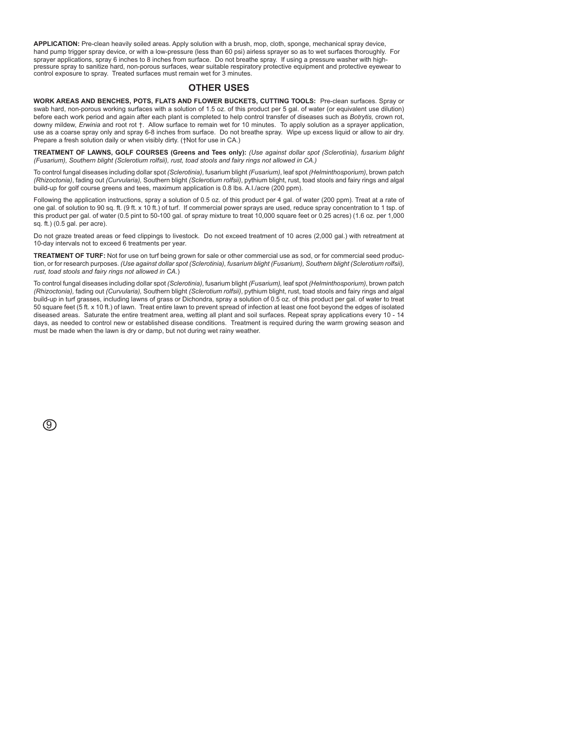**APPLICATION:** Pre-clean heavily soiled areas. Apply solution with a brush, mop, cloth, sponge, mechanical spray device, hand pump trigger spray device, or with a low-pressure (less than 60 psi) airless sprayer so as to wet surfaces thoroughly. For sprayer applications, spray 6 inches to 8 inches from surface. Do not breathe spray. If using a pressure washer with highpressure spray to sanitize hard, non-porous surfaces, wear suitable respiratory protective equipment and protective eyewear to control exposure to spray. Treated surfaces must remain wet for 3 minutes.

### **OTHER USES**

**WORK AREAS AND BENCHES, POTS, FLATS AND FLOWER BUCKETS, CUTTING TOOLS:** Pre-clean surfaces. Spray or swab hard, non-porous working surfaces with a solution of 1.5 oz. of this product per 5 gal. of water (or equivalent use dilution) before each work period and again after each plant is completed to help control transfer of diseases such as *Botrytis,* crown rot, downy mildew, *Erwinia* and root rot †. Allow surface to remain wet for 10 minutes. To apply solution as a sprayer application, use as a coarse spray only and spray 6-8 inches from surface. Do not breathe spray. Wipe up excess liquid or allow to air dry. Prepare a fresh solution daily or when visibly dirty. (†Not for use in CA.)

**TREATMENT OF LAWNS, GOLF COURSES (Greens and Tees only):** *(Use against dollar spot (Sclerotinia), fusarium blight (Fusarium), Southern blight (Sclerotium rolfsii), rust, toad stools and fairy rings not allowed in CA.)*

To control fungal diseases including dollar spot *(Sclerotinia)*, fusarium blight *(Fusarium)*, leaf spot *(Helminthosporium)*, brown patch *(Rhizoctonia)*, fading out *(Curvularia),* Southern blight *(Sclerotium rolfsii)*, pythium blight, rust, toad stools and fairy rings and algal build-up for golf course greens and tees, maximum application is 0.8 lbs. A.I./acre (200 ppm).

Following the application instructions, spray a solution of 0.5 oz. of this product per 4 gal. of water (200 ppm). Treat at a rate of one gal. of solution to 90 sq. ft. (9 ft. x 10 ft.) of turf. If commercial power sprays are used, reduce spray concentration to 1 tsp. of this product per gal. of water (0.5 pint to 50-100 gal. of spray mixture to treat 10,000 square feet or 0.25 acres) (1.6 oz. per 1,000 sq. ft.) (0.5 gal. per acre).

Do not graze treated areas or feed clippings to livestock. Do not exceed treatment of 10 acres (2,000 gal.) with retreatment at 10-day intervals not to exceed 6 treatments per year.

**TREATMENT OF TURF:** Not for use on turf being grown for sale or other commercial use as sod, or for commercial seed production, or for research purposes. *(Use against dollar spot (Sclerotinia), fusarium blight (Fusarium), Southern blight (Sclerotium rolfsii), rust, toad stools and fairy rings not allowed in CA.*)

To control fungal diseases including dollar spot *(Sclerotinia)*, fusarium blight *(Fusarium),* leaf spot *(Helminthosporium)*, brown patch *(Rhizoctonia),* fading out *(Curvularia),* Southern blight *(Sclerotium rolfsii)*, pythium blight, rust, toad stools and fairy rings and algal build-up in turf grasses, including lawns of grass or Dichondra, spray a solution of 0.5 oz. of this product per gal. of water to treat 50 square feet (5 ft. x 10 ft.) of lawn. Treat entire lawn to prevent spread of infection at least one foot beyond the edges of isolated diseased areas. Saturate the entire treatment area, wetting all plant and soil surfaces. Repeat spray applications every 10 - 14 days, as needed to control new or established disease conditions. Treatment is required during the warm growing season and must be made when the lawn is dry or damp, but not during wet rainy weather.